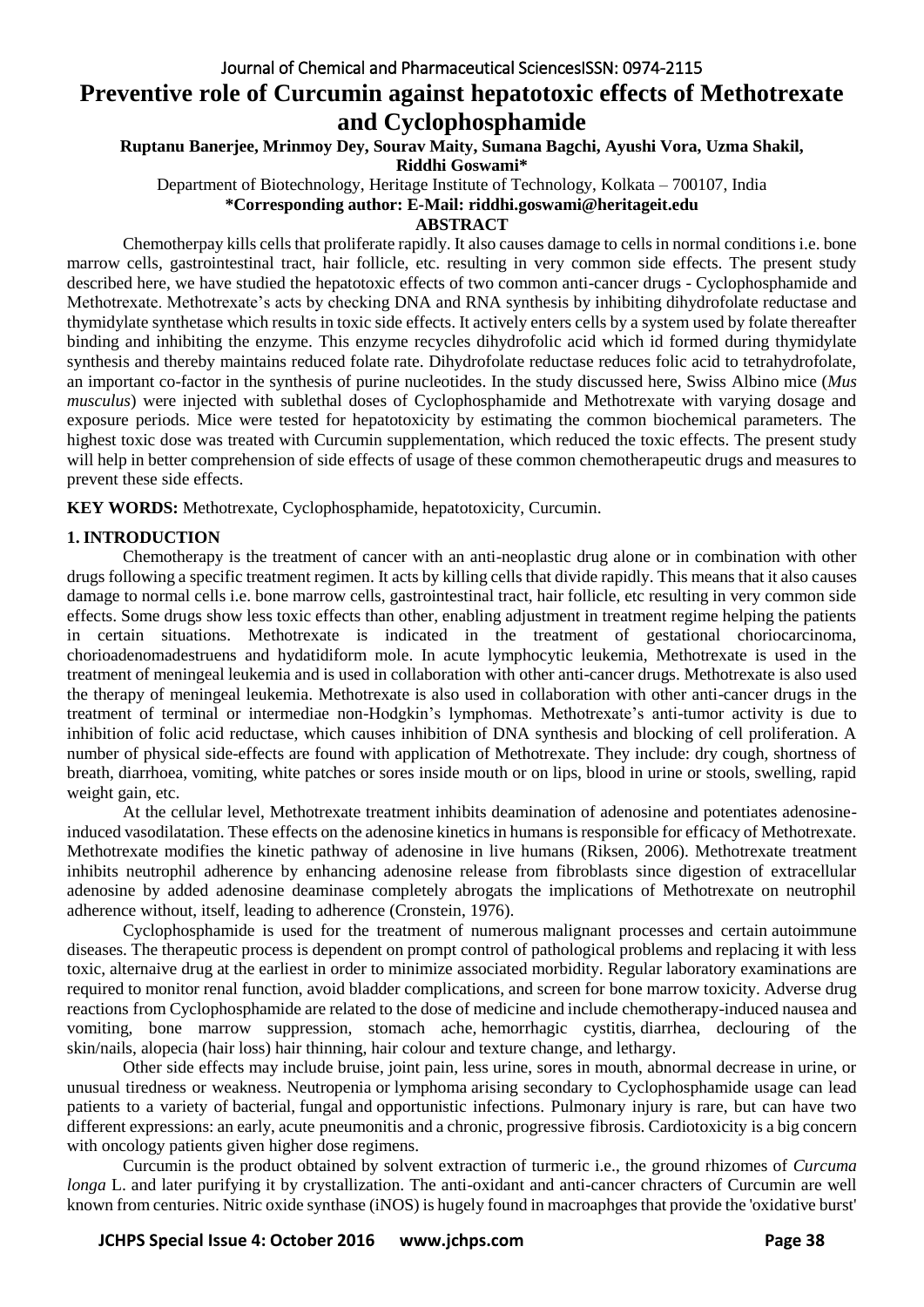# **Preventive role of Curcumin against hepatotoxic effects of Methotrexate and Cyclophosphamide**

**Ruptanu Banerjee, Mrinmoy Dey, Sourav Maity, Sumana Bagchi, Ayushi Vora, Uzma Shakil,** 

**Riddhi Goswami\***

Department of Biotechnology, Heritage Institute of Technology, Kolkata – 700107, India

**\*Corresponding author: E-Mail: riddhi.goswami@heritageit.edu**

**ABSTRACT**

Chemotherpay kills cells that proliferate rapidly. It also causes damage to cells in normal conditions i.e. bone marrow cells, gastrointestinal tract, hair follicle, etc. resulting in very common side effects. The present study described here, we have studied the hepatotoxic effects of two common anti-cancer drugs - Cyclophosphamide and Methotrexate. Methotrexate's acts by checking DNA and RNA synthesis by inhibiting dihydrofolate reductase and thymidylate synthetase which results in toxic side effects. It actively enters cells by a system used by folate thereafter binding and inhibiting the enzyme. This enzyme recycles dihydrofolic acid which id formed during thymidylate synthesis and thereby maintains reduced folate rate. Dihydrofolate reductase reduces folic acid to tetrahydrofolate, an important co-factor in the synthesis of purine nucleotides. In the study discussed here, Swiss Albino mice (*Mus musculus*) were injected with sublethal doses of Cyclophosphamide and Methotrexate with varying dosage and exposure periods. Mice were tested for hepatotoxicity by estimating the common biochemical parameters. The highest toxic dose was treated with Curcumin supplementation, which reduced the toxic effects. The present study will help in better comprehension of side effects of usage of these common chemotherapeutic drugs and measures to prevent these side effects.

**KEY WORDS:** Methotrexate, Cyclophosphamide, hepatotoxicity, Curcumin.

# **1. INTRODUCTION**

Chemotherapy is the treatment of cancer with an anti-neoplastic drug alone or in combination with other drugs following a specific treatment regimen. It acts by killing cells that divide rapidly. This means that it also causes damage to normal cells i.e. bone marrow cells, gastrointestinal tract, hair follicle, etc resulting in very common side effects. Some drugs show less toxic effects than other, enabling adjustment in treatment regime helping the patients in certain situations. Methotrexate is indicated in the treatment of gestational choriocarcinoma, chorioadenomadestruens and hydatidiform mole. In acute lymphocytic leukemia, Methotrexate is used in the treatment of meningeal leukemia and is used in collaboration with other anti-cancer drugs. Methotrexate is also used the therapy of meningeal leukemia. Methotrexate is also used in collaboration with other anti-cancer drugs in the treatment of terminal or intermediae non-Hodgkin's lymphomas. Methotrexate's anti-tumor activity is due to inhibition of folic acid reductase, which causes inhibition of DNA synthesis and blocking of cell proliferation. A number of physical side-effects are found with application of Methotrexate. They include: dry cough, shortness of breath, diarrhoea, vomiting, white patches or sores inside mouth or on lips, blood in urine or stools, swelling, rapid weight gain, etc.

At the cellular level, Methotrexate treatment inhibits deamination of adenosine and potentiates adenosineinduced vasodilatation. These effects on the adenosine kinetics in humans is responsible for efficacy of Methotrexate. Methotrexate modifies the kinetic pathway of adenosine in live humans [\(Riksen,](http://www.ncbi.nlm.nih.gov/pubmed/?term=Riksen%20NP%5Bauth%5D) 2006). Methotrexate treatment inhibits neutrophil adherence by enhancing adenosine release from fibroblasts since digestion of extracellular adenosine by added adenosine deaminase completely abrogats the implications of Methotrexate on neutrophil adherence without, itself, leading to adherence (Cronstein, 1976).

Cyclophosphamide is used for the treatment of numerous malignant processes and certain autoimmune diseases. The therapeutic process is dependent on prompt control of pathological problems and replacing it with less toxic, alternaive drug at the earliest in order to minimize associated morbidity. Regular laboratory examinations are required to monitor renal function, avoid bladder complications, and screen for bone marrow toxicity. Adverse drug reactions from Cyclophosphamide are related to the dose of medicine and include chemotherapy-induced nausea and vomiting, bone marrow suppression, stomach ache, hemorrhagic cystitis, diarrhea, declouring of the skin/nails, alopecia (hair loss) hair thinning, hair colour and texture change, and lethargy.

Other side effects may include bruise, joint pain, less urine, sores in mouth, abnormal decrease in urine, or unusual tiredness or weakness. Neutropenia or lymphoma arising secondary to Cyclophosphamide usage can lead patients to a variety of bacterial, fungal and opportunistic infections. Pulmonary injury is rare, but can have two different expressions: an early, acute pneumonitis and a chronic, progressive fibrosis. Cardiotoxicity is a big concern with oncology patients given higher dose regimens.

Curcumin is the product obtained by solvent extraction of turmeric i.e., the ground rhizomes of *Curcuma longa* L. and later purifying it by crystallization. The anti-oxidant and anti-cancer chracters of Curcumin are well known from centuries. Nitric oxide synthase (iNOS) is hugely found in macroaphges that provide the 'oxidative burst'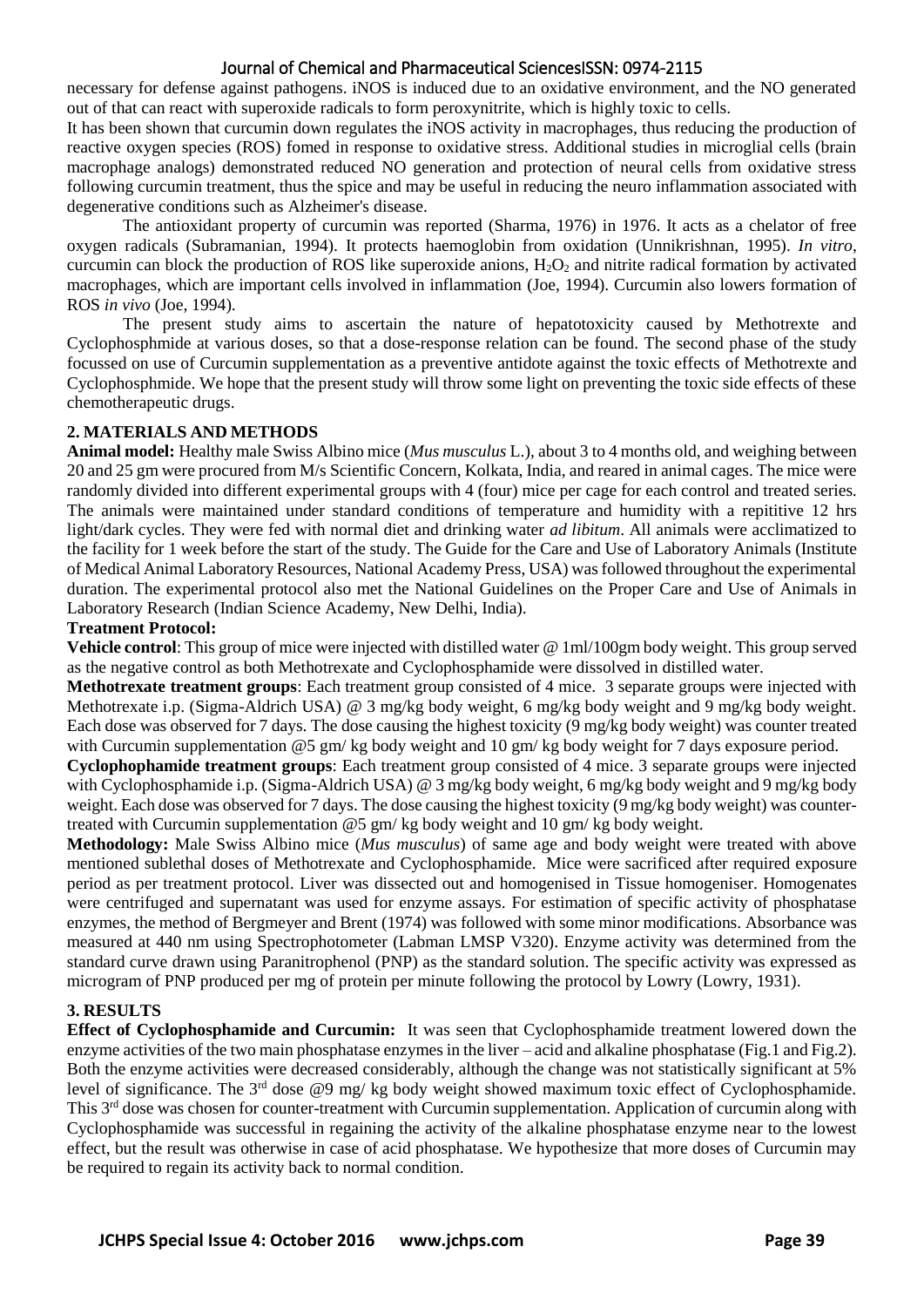#### Journal of Chemical and Pharmaceutical SciencesISSN: 0974-2115

necessary for defense against pathogens. iNOS is induced due to an oxidative environment, and the NO generated out of that can react with superoxide radicals to form peroxynitrite, which is highly toxic to cells.

It has been shown that curcumin down regulates the iNOS activity in macrophages, thus reducing the production of reactive oxygen species (ROS) fomed in response to oxidative stress. Additional studies in microglial cells (brain macrophage analogs) demonstrated reduced NO generation and protection of neural cells from oxidative stress following curcumin treatment, thus the spice and may be useful in reducing the neuro inflammation associated with degenerative conditions such as Alzheimer's disease.

The antioxidant property of curcumin was reported (Sharma, 1976) in 1976. It acts as a chelator of free oxygen radicals (Subramanian, 1994). It protects haemoglobin from oxidation (Unnikrishnan, 1995). *In vitro*, curcumin can block the production of ROS like superoxide anions,  $H_2O_2$  and nitrite radical formation by activated macrophages, which are important cells involved in inflammation (Joe, 1994). Curcumin also lowers formation of ROS *in vivo* (Joe, 1994).

The present study aims to ascertain the nature of hepatotoxicity caused by Methotrexte and Cyclophosphmide at various doses, so that a dose-response relation can be found. The second phase of the study focussed on use of Curcumin supplementation as a preventive antidote against the toxic effects of Methotrexte and Cyclophosphmide. We hope that the present study will throw some light on preventing the toxic side effects of these chemotherapeutic drugs.

#### **2. MATERIALS AND METHODS**

**Animal model:** Healthy male Swiss Albino mice (*Mus musculus* L.), about 3 to 4 months old, and weighing between 20 and 25 gm were procured from M/s Scientific Concern, Kolkata, India, and reared in animal cages. The mice were randomly divided into different experimental groups with 4 (four) mice per cage for each control and treated series. The animals were maintained under standard conditions of temperature and humidity with a repititive 12 hrs light/dark cycles. They were fed with normal diet and drinking water *ad libitum*. All animals were acclimatized to the facility for 1 week before the start of the study. The Guide for the Care and Use of Laboratory Animals (Institute of Medical Animal Laboratory Resources, National Academy Press, USA) was followed throughout the experimental duration. The experimental protocol also met the National Guidelines on the Proper Care and Use of Animals in Laboratory Research (Indian Science Academy, New Delhi, India).

#### **Treatment Protocol:**

**Vehicle control**: This group of mice were injected with distilled water @ 1ml/100gm body weight. This group served as the negative control as both Methotrexate and Cyclophosphamide were dissolved in distilled water.

**Methotrexate treatment groups**: Each treatment group consisted of 4 mice. 3 separate groups were injected with Methotrexate i.p. (Sigma-Aldrich USA) @ 3 mg/kg body weight, 6 mg/kg body weight and 9 mg/kg body weight. Each dose was observed for 7 days. The dose causing the highest toxicity (9 mg/kg body weight) was counter treated with Curcumin supplementation @5 gm/ kg body weight and 10 gm/ kg body weight for 7 days exposure period.

**Cyclophophamide treatment groups**: Each treatment group consisted of 4 mice. 3 separate groups were injected with Cyclophosphamide i.p. (Sigma-Aldrich USA) @ 3 mg/kg body weight, 6 mg/kg body weight and 9 mg/kg body weight. Each dose was observed for 7 days. The dose causing the highest toxicity (9 mg/kg body weight) was countertreated with Curcumin supplementation @5 gm/ kg body weight and 10 gm/ kg body weight.

**Methodology:** Male Swiss Albino mice (*Mus musculus*) of same age and body weight were treated with above mentioned sublethal doses of Methotrexate and Cyclophosphamide. Mice were sacrificed after required exposure period as per treatment protocol. Liver was dissected out and homogenised in Tissue homogeniser. Homogenates were centrifuged and supernatant was used for enzyme assays. For estimation of specific activity of phosphatase enzymes, the method of Bergmeyer and Brent (1974) was followed with some minor modifications. Absorbance was measured at 440 nm using Spectrophotometer (Labman LMSP V320). Enzyme activity was determined from the standard curve drawn using Paranitrophenol (PNP) as the standard solution. The specific activity was expressed as microgram of PNP produced per mg of protein per minute following the protocol by Lowry (Lowry, 1931).

# **3. RESULTS**

**Effect of Cyclophosphamide and Curcumin:** It was seen that Cyclophosphamide treatment lowered down the enzyme activities of the two main phosphatase enzymes in the liver – acid and alkaline phosphatase (Fig.1 and Fig.2). Both the enzyme activities were decreased considerably, although the change was not statistically significant at 5% level of significance. The 3rd dose @9 mg/ kg body weight showed maximum toxic effect of Cyclophosphamide. This 3rd dose was chosen for counter-treatment with Curcumin supplementation. Application of curcumin along with Cyclophosphamide was successful in regaining the activity of the alkaline phosphatase enzyme near to the lowest effect, but the result was otherwise in case of acid phosphatase. We hypothesize that more doses of Curcumin may be required to regain its activity back to normal condition.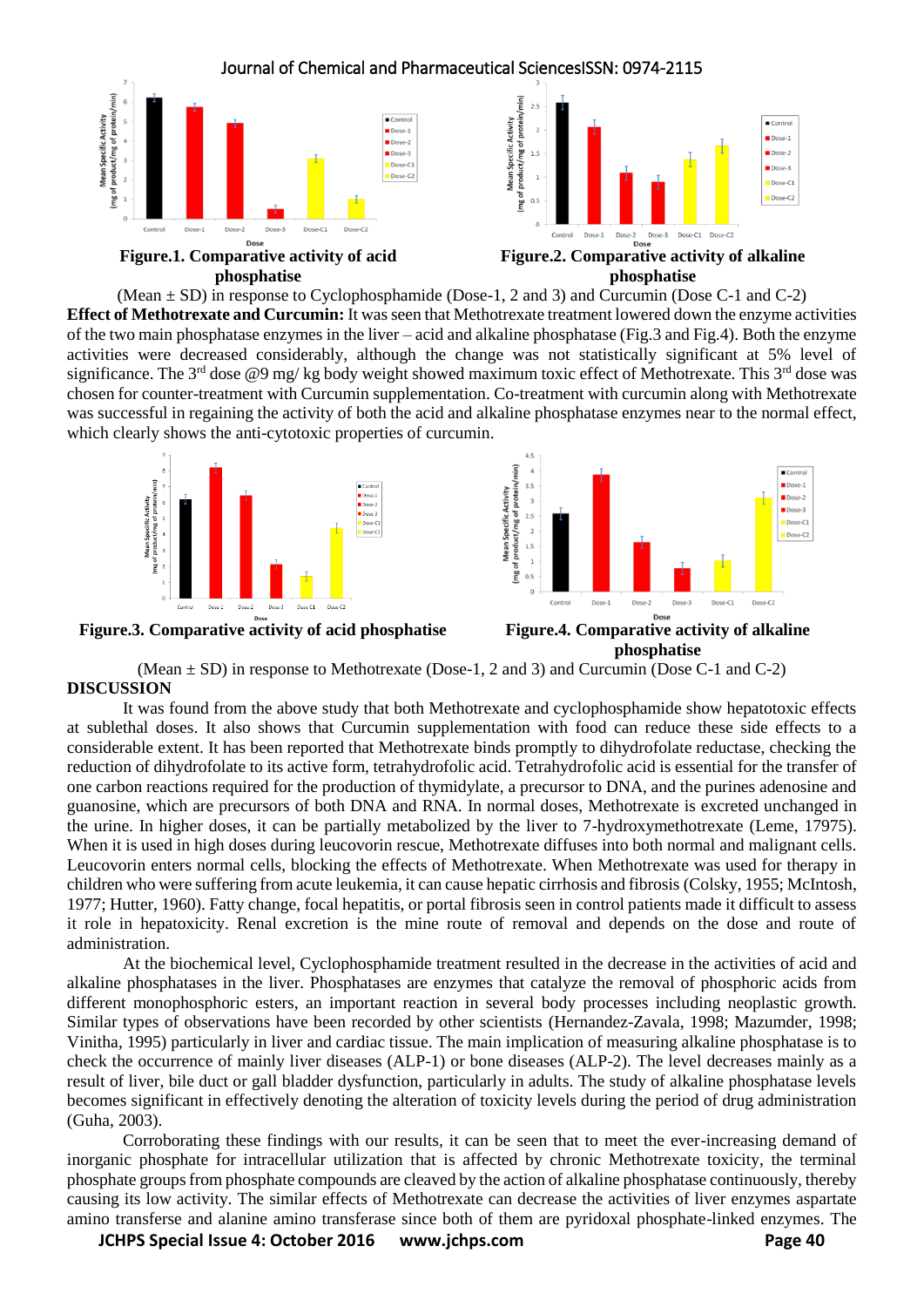

#### **Figure.1. Comparative activity of acid phosphatise**

**Figure.2. Comparative activity of alkaline phosphatise** 

(Mean  $\pm$  SD) in response to Cyclophosphamide (Dose-1, 2 and 3) and Curcumin (Dose C-1 and C-2) **Effect of Methotrexate and Curcumin:** It was seen that Methotrexate treatment lowered down the enzyme activities of the two main phosphatase enzymes in the liver – acid and alkaline phosphatase (Fig.3 and Fig.4). Both the enzyme activities were decreased considerably, although the change was not statistically significant at 5% level of significance. The 3<sup>rd</sup> dose @9 mg/ kg body weight showed maximum toxic effect of Methotrexate. This 3<sup>rd</sup> dose was chosen for counter-treatment with Curcumin supplementation. Co-treatment with curcumin along with Methotrexate was successful in regaining the activity of both the acid and alkaline phosphatase enzymes near to the normal effect, which clearly shows the anti-cytotoxic properties of curcumin.





**Figure.3. Comparative activity of acid phosphatise Figure.4. Comparative activity of alkaline** 

**phosphatise**

(Mean  $\pm$  SD) in response to Methotrexate (Dose-1, 2 and 3) and Curcumin (Dose C-1 and C-2) **DISCUSSION**

It was found from the above study that both Methotrexate and cyclophosphamide show hepatotoxic effects at sublethal doses. It also shows that Curcumin supplementation with food can reduce these side effects to a considerable extent. It has been reported that Methotrexate binds promptly to dihydrofolate reductase, checking the reduction of dihydrofolate to its active form, tetrahydrofolic acid. Tetrahydrofolic acid is essential for the transfer of one carbon reactions required for the production of thymidylate, a precursor to DNA, and the purines adenosine and guanosine, which are precursors of both DNA and RNA. In normal doses, Methotrexate is excreted unchanged in the urine. In higher doses, it can be partially metabolized by the liver to 7-hydroxymethotrexate (Leme, 17975). When it is used in high doses during leucovorin rescue. Methotrexate diffuses into both normal and malignant cells. Leucovorin enters normal cells, blocking the effects of Methotrexate. When Methotrexate was used for therapy in children who were suffering from acute leukemia, it can cause hepatic cirrhosis and fibrosis (Colsky, 1955; McIntosh, 1977; Hutter, 1960). Fatty change, focal hepatitis, or portal fibrosis seen in control patients made it difficult to assess it role in hepatoxicity. Renal excretion is the mine route of removal and depends on the dose and route of administration.

At the biochemical level, Cyclophosphamide treatment resulted in the decrease in the activities of acid and alkaline phosphatases in the liver. Phosphatases are enzymes that catalyze the removal of phosphoric acids from different monophosphoric esters, an important reaction in several body processes including neoplastic growth. Similar types of observations have been recorded by other scientists (Hernandez-Zavala, 1998; Mazumder, 1998; Vinitha, 1995) particularly in liver and cardiac tissue. The main implication of measuring alkaline phosphatase is to check the occurrence of mainly liver diseases (ALP-1) or bone diseases (ALP-2). The level decreases mainly as a result of liver, bile duct or gall bladder dysfunction, particularly in adults. The study of alkaline phosphatase levels becomes significant in effectively denoting the alteration of toxicity levels during the period of drug administration (Guha, 2003).

Corroborating these findings with our results, it can be seen that to meet the ever-increasing demand of inorganic phosphate for intracellular utilization that is affected by chronic Methotrexate toxicity, the terminal phosphate groups from phosphate compounds are cleaved by the action of alkaline phosphatase continuously, thereby causing its low activity. The similar effects of Methotrexate can decrease the activities of liver enzymes aspartate amino transferse and alanine amino transferase since both of them are pyridoxal phosphate-linked enzymes. The

**JCHPS Special Issue 4: October 2016 www.jchps.com Page 40**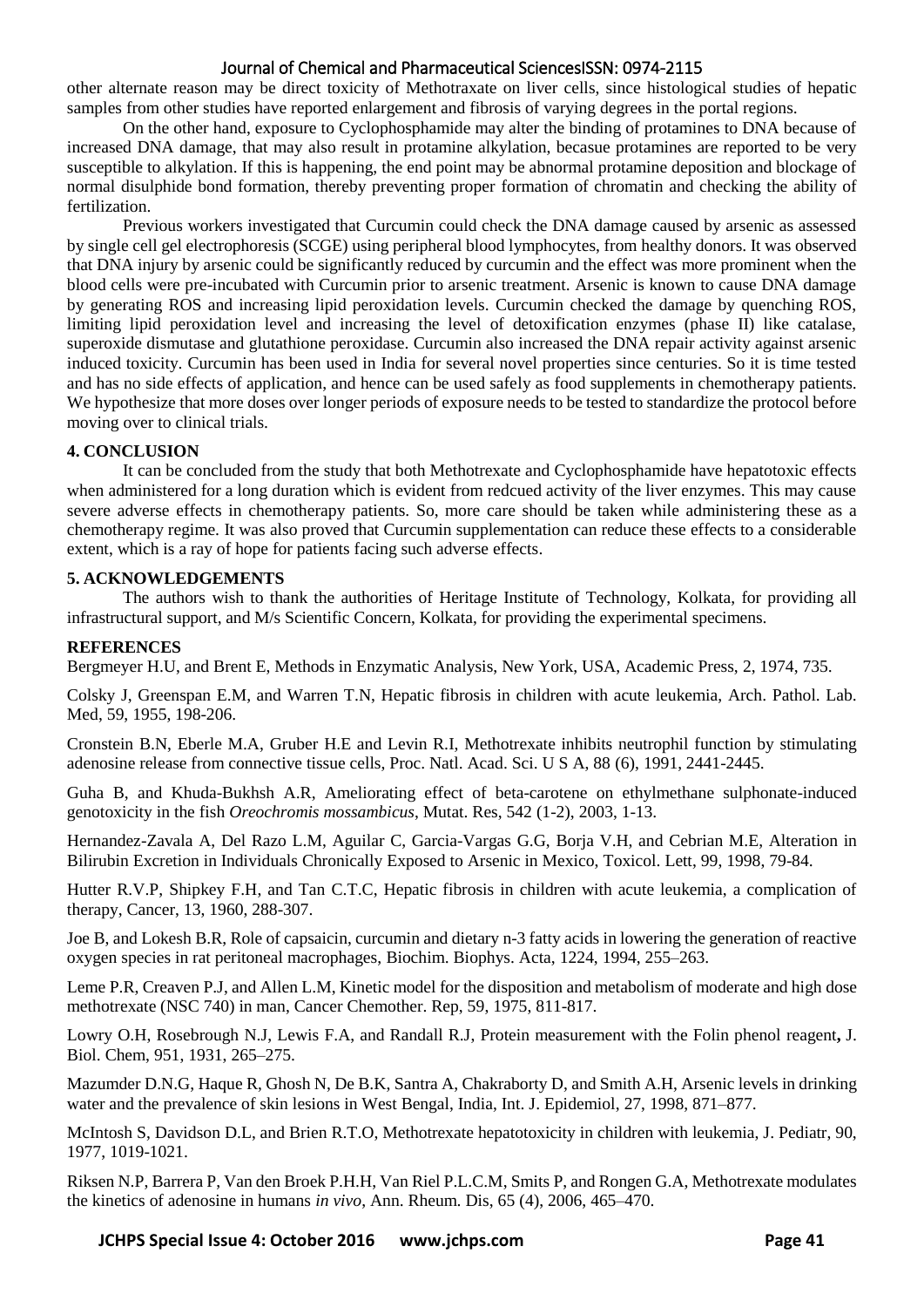### Journal of Chemical and Pharmaceutical SciencesISSN: 0974-2115

other alternate reason may be direct toxicity of Methotraxate on liver cells, since histological studies of hepatic samples from other studies have reported enlargement and fibrosis of varying degrees in the portal regions.

On the other hand, exposure to Cyclophosphamide may alter the binding of protamines to DNA because of increased DNA damage, that may also result in protamine alkylation, becasue protamines are reported to be very susceptible to alkylation. If this is happening, the end point may be abnormal protamine deposition and blockage of normal disulphide bond formation, thereby preventing proper formation of chromatin and checking the ability of fertilization.

Previous workers investigated that Curcumin could check the DNA damage caused by arsenic as assessed by single cell gel electrophoresis (SCGE) using peripheral blood lymphocytes, from healthy donors. It was observed that DNA injury by arsenic could be significantly reduced by curcumin and the effect was more prominent when the blood cells were pre-incubated with Curcumin prior to arsenic treatment. Arsenic is known to cause DNA damage by generating ROS and increasing lipid peroxidation levels. Curcumin checked the damage by quenching ROS, limiting lipid peroxidation level and increasing the level of detoxification enzymes (phase II) like catalase, superoxide dismutase and glutathione peroxidase. Curcumin also increased the DNA repair activity against arsenic induced toxicity. Curcumin has been used in India for several novel properties since centuries. So it is time tested and has no side effects of application, and hence can be used safely as food supplements in chemotherapy patients. We hypothesize that more doses over longer periods of exposure needs to be tested to standardize the protocol before moving over to clinical trials.

#### **4. CONCLUSION**

It can be concluded from the study that both Methotrexate and Cyclophosphamide have hepatotoxic effects when administered for a long duration which is evident from redcued activity of the liver enzymes. This may cause severe adverse effects in chemotherapy patients. So, more care should be taken while administering these as a chemotherapy regime. It was also proved that Curcumin supplementation can reduce these effects to a considerable extent, which is a ray of hope for patients facing such adverse effects.

#### **5. ACKNOWLEDGEMENTS**

The authors wish to thank the authorities of Heritage Institute of Technology, Kolkata, for providing all infrastructural support, and M/s Scientific Concern, Kolkata, for providing the experimental specimens.

#### **REFERENCES**

Bergmeyer H.U, and Brent E, Methods in Enzymatic Analysis, New York, USA, Academic Press, 2, 1974, 735.

Colsky J, Greenspan E.M, and Warren T.N, Hepatic fibrosis in children with acute leukemia, Arch. Pathol. Lab. Med, 59, 1955, 198-206.

[Cronstein](http://www.ncbi.nlm.nih.gov/pubmed/?term=Cronstein%20BN%5BAuthor%5D&cauthor=true&cauthor_uid=2006182) B.N, [Eberle](http://www.ncbi.nlm.nih.gov/pubmed/?term=Cronstein%20BN%5BAuthor%5D&cauthor=true&cauthor_uid=2006182) M.A, [Gruber](http://www.ncbi.nlm.nih.gov/pubmed/?term=Gruber%20HE%5BAuthor%5D&cauthor=true&cauthor_uid=2006182) H.E and [Levin](http://www.ncbi.nlm.nih.gov/pubmed/?term=Levin%20RI%5BAuthor%5D&cauthor=true&cauthor_uid=2006182) R.I, Methotrexate inhibits neutrophil function by stimulating adenosine release from connective tissue cells, Proc. Natl. Acad. Sci. U S A, 88 (6), 1991, 2441-2445.

Guha B, and Khuda-Bukhsh A.R, Ameliorating effect of beta-carotene on ethylmethane sulphonate-induced genotoxicity in the fish *Oreochromis mossambicus*, Mutat. Res, 542 (1-2), 2003, 1-13.

Hernandez-Zavala A, Del Razo L.M, Aguilar C, Garcia-Vargas G.G, Borja V.H, and Cebrian M.E, Alteration in Bilirubin Excretion in Individuals Chronically Exposed to Arsenic in Mexico, Toxicol. Lett, 99, 1998, 79-84.

Hutter R.V.P, Shipkey F.H, and Tan C.T.C, Hepatic fibrosis in children with acute leukemia, a complication of therapy, Cancer, 13, 1960, 288-307.

Joe B, and Lokesh B.R, Role of capsaicin, curcumin and dietary n-3 fatty acids in lowering the generation of reactive oxygen species in rat peritoneal macrophages, Biochim. Biophys. Acta, 1224, 1994, 255–263.

Leme P.R, Creaven P.J, and Allen L.M, Kinetic model for the disposition and metabolism of moderate and high dose methotrexate (NSC 740) in man, Cancer Chemother. Rep, 59, 1975, 811-817.

Lowry O.H, Rosebrough N.J, Lewis F.A, and Randall R.J, Protein measurement with the Folin phenol reagent**,** J. Biol. Chem, 951, 1931, 265–275.

Mazumder D.N.G, Haque R, Ghosh N, De B.K, Santra A, Chakraborty D, and Smith A.H, Arsenic levels in drinking water and the prevalence of skin lesions in West Bengal, India, Int. J. Epidemiol, 27, 1998, 871–877.

McIntosh S, Davidson D.L, and Brien R.T.O, Methotrexate hepatotoxicity in children with leukemia, J. Pediatr, 90, 1977, 1019-1021.

[Riksen](http://www.ncbi.nlm.nih.gov/pubmed/?term=Riksen%20NP%5Bauth%5D) N.P, [Barrera](http://www.ncbi.nlm.nih.gov/pubmed/?term=Barrera%20P%5Bauth%5D) P[, Van den Broek](http://www.ncbi.nlm.nih.gov/pubmed/?term=van%20den%20Broek%20PH%5Bauth%5D) P.H.H[, Van Riel](http://www.ncbi.nlm.nih.gov/pubmed/?term=van%20Riel%20PL%5Bauth%5D) P.L.C.M, Smits P, and [Rongen](http://www.ncbi.nlm.nih.gov/pubmed/?term=Rongen%20GA%5Bauth%5D) G.A, Methotrexate modulates the kinetics of adenosine in humans *in vivo*, Ann. Rheum. Dis, 65 (4), 2006, 465–470.